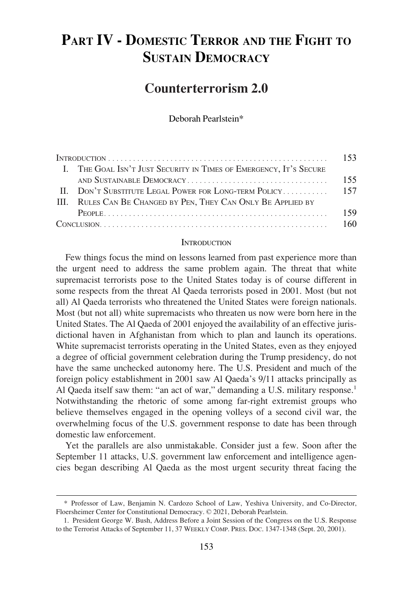# **PART IV - DOMESTIC TERROR AND THE FIGHT TO SUSTAIN DEMOCRACY**

# **Counterterrorism 2.0**

Deborah Pearlstein\*

|  | I. THE GOAL ISN'T JUST SECURITY IN TIMES OF EMERGENCY, IT'S SECURE |     |
|--|--------------------------------------------------------------------|-----|
|  |                                                                    | 155 |
|  | II. DON'T SUBSTITUTE LEGAL POWER FOR LONG-TERM POLICY 157          |     |
|  | III. RULES CAN BE CHANGED BY PEN, THEY CAN ONLY BE APPLIED BY      |     |
|  |                                                                    |     |
|  | Conv160                                                            |     |

#### INTRODUCTION

Few things focus the mind on lessons learned from past experience more than the urgent need to address the same problem again. The threat that white supremacist terrorists pose to the United States today is of course different in some respects from the threat Al Qaeda terrorists posed in 2001. Most (but not all) Al Qaeda terrorists who threatened the United States were foreign nationals. Most (but not all) white supremacists who threaten us now were born here in the United States. The Al Qaeda of 2001 enjoyed the availability of an effective jurisdictional haven in Afghanistan from which to plan and launch its operations. White supremacist terrorists operating in the United States, even as they enjoyed a degree of official government celebration during the Trump presidency, do not have the same unchecked autonomy here. The U.S. President and much of the foreign policy establishment in 2001 saw Al Qaeda's 9/11 attacks principally as Al Qaeda itself saw them: "an act of war," demanding a U.S. military response.<sup>1</sup> Notwithstanding the rhetoric of some among far-right extremist groups who believe themselves engaged in the opening volleys of a second civil war, the overwhelming focus of the U.S. government response to date has been through domestic law enforcement.

Yet the parallels are also unmistakable. Consider just a few. Soon after the September 11 attacks, U.S. government law enforcement and intelligence agencies began describing Al Qaeda as the most urgent security threat facing the

<sup>\*</sup> Professor of Law, Benjamin N. Cardozo School of Law, Yeshiva University, and Co-Director, Floersheimer Center for Constitutional Democracy. © 2021, Deborah Pearlstein.

<sup>1.</sup> President George W. Bush, Address Before a Joint Session of the Congress on the U.S. Response to the Terrorist Attacks of September 11, 37 WEEKLY COMP. PRES. DOC. 1347-1348 (Sept. 20, 2001).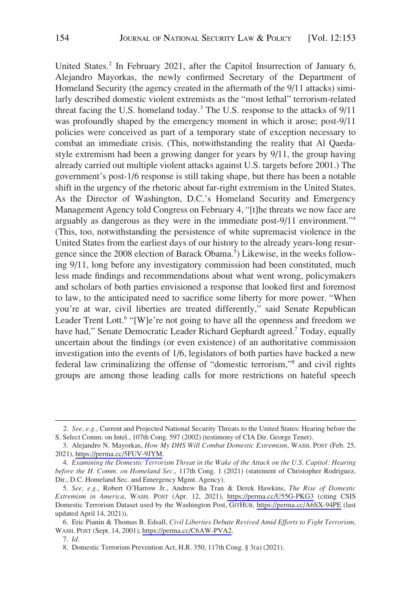United States.<sup>2</sup> In February 2021, after the Capitol Insurrection of January 6, Alejandro Mayorkas, the newly confirmed Secretary of the Department of Homeland Security (the agency created in the aftermath of the 9/11 attacks) similarly described domestic violent extremists as the "most lethal" terrorism-related threat facing the U.S. homeland today.<sup>3</sup> The U.S. response to the attacks of 9/11 was profoundly shaped by the emergency moment in which it arose; post-9/11 policies were conceived as part of a temporary state of exception necessary to combat an immediate crisis. (This, notwithstanding the reality that Al Qaedastyle extremism had been a growing danger for years by 9/11, the group having already carried out multiple violent attacks against U.S. targets before 2001.) The government's post-1/6 response is still taking shape, but there has been a notable shift in the urgency of the rhetoric about far-right extremism in the United States. As the Director of Washington, D.C.'s Homeland Security and Emergency Management Agency told Congress on February 4, "[t]he threats we now face are arguably as dangerous as they were in the immediate post-9/11 environment."<sup>4</sup> (This, too, notwithstanding the persistence of white supremacist violence in the United States from the earliest days of our history to the already years-long resurgence since the 2008 election of Barack Obama.<sup>5</sup>) Likewise, in the weeks following 9/11, long before any investigatory commission had been constituted, much less made findings and recommendations about what went wrong, policymakers and scholars of both parties envisioned a response that looked first and foremost to law, to the anticipated need to sacrifice some liberty for more power. "When you're at war, civil liberties are treated differently," said Senate Republican Leader Trent Lott.<sup>6</sup> "[W]e're not going to have all the openness and freedom we have had," Senate Democratic Leader Richard Gephardt agreed.<sup>7</sup> Today, equally uncertain about the findings (or even existence) of an authoritative commission investigation into the events of 1/6, legislators of both parties have backed a new federal law criminalizing the offense of "domestic terrorism,"8 and civil rights groups are among those leading calls for more restrictions on hateful speech

<sup>2.</sup> *See, e.g.*, Current and Projected National Security Threats to the United States: Hearing before the S. Select Comm. on Intel., 107th Cong. 597 (2002) (testimony of CIA Dir. George Tenet).

Alejandro N. Mayorkas, *How My DHS Will Combat Domestic Extremism*, WASH. POST (Feb. 25, 3. 2021),<https://perma.cc/5FUV-9JYM>.

<sup>4.</sup> *Examining the Domestic Terrorism Threat in the Wake of the Attack on the U.S. Capitol: Hearing before the H. Comm. on Homeland Sec*., 117th Cong. 1 (2021) (statement of Christopher Rodriguez, Dir., D.C. Homeland Sec. and Emergency Mgmt. Agency).

*See, e.g.*, Robert O'Harrow Jr., Andrew Ba Tran & Derek Hawkins, *The Rise of Domestic*  5. *Extremism in America*, WASH. POST (Apr. 12, 2021), <https://perma.cc/U55G-PKG3> (citing CSIS Domestic Terrorism Dataset used by the Washington Post, GITHUB, <https://perma.cc/A6SX-94PE>(last updated April 14, 2021)).

Eric Pianin & Thomas B. Edsall, *Civil Liberties Debate Revived Amid Efforts to Fight Terrorism*, 6. WASH. POST (Sept. 14, 2001), [https://perma.cc/C6AW-PVA2.](https://perma.cc/C6AW-PVA2)

<sup>7.</sup> *Id.* 

<sup>8.</sup> Domestic Terrorism Prevention Act, H.R. 350, 117th Cong. § 3(a) (2021).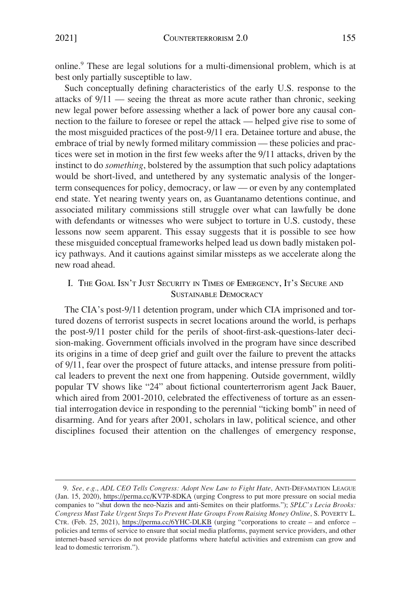<span id="page-2-0"></span>online.<sup>9</sup> These are legal solutions for a multi-dimensional problem, which is at best only partially susceptible to law.

Such conceptually defining characteristics of the early U.S. response to the attacks of 9/11 — seeing the threat as more acute rather than chronic, seeking new legal power before assessing whether a lack of power bore any causal connection to the failure to foresee or repel the attack — helped give rise to some of the most misguided practices of the post-9/11 era. Detainee torture and abuse, the embrace of trial by newly formed military commission — these policies and practices were set in motion in the first few weeks after the 9/11 attacks, driven by the instinct to do *something*, bolstered by the assumption that such policy adaptations would be short-lived, and untethered by any systematic analysis of the longerterm consequences for policy, democracy, or law — or even by any contemplated end state. Yet nearing twenty years on, as Guantanamo detentions continue, and associated military commissions still struggle over what can lawfully be done with defendants or witnesses who were subject to torture in U.S. custody, these lessons now seem apparent. This essay suggests that it is possible to see how these misguided conceptual frameworks helped lead us down badly mistaken policy pathways. And it cautions against similar missteps as we accelerate along the new road ahead.

## I. THE GOAL ISN'T JUST SECURITY IN TIMES OF EMERGENCY, IT'S SECURE AND SUSTAINABLE DEMOCRACY

The CIA's post-9/11 detention program, under which CIA imprisoned and tortured dozens of terrorist suspects in secret locations around the world, is perhaps the post-9/11 poster child for the perils of shoot-first-ask-questions-later decision-making. Government officials involved in the program have since described its origins in a time of deep grief and guilt over the failure to prevent the attacks of 9/11, fear over the prospect of future attacks, and intense pressure from political leaders to prevent the next one from happening. Outside government, wildly popular TV shows like "24" about fictional counterterrorism agent Jack Bauer, which aired from 2001-2010, celebrated the effectiveness of torture as an essential interrogation device in responding to the perennial "ticking bomb" in need of disarming. And for years after 2001, scholars in law, political science, and other disciplines focused their attention on the challenges of emergency response,

*See, e.g.*, *ADL CEO Tells Congress: Adopt New Law to Fight Hate*, ANTI-DEFAMATION LEAGUE 9. (Jan. 15, 2020), <https://perma.cc/KV7P-8DKA>(urging Congress to put more pressure on social media companies to "shut down the neo-Nazis and anti-Semites on their platforms."); *SPLC's Lecia Brooks: Congress Must Take Urgent Steps To Prevent Hate Groups From Raising Money Online*, S. POVERTY L. CTR. (Feb. 25, 2021), <https://perma.cc/6YHC-DLKB> (urging "corporations to create – and enforce – policies and terms of service to ensure that social media platforms, payment service providers, and other internet-based services do not provide platforms where hateful activities and extremism can grow and lead to domestic terrorism.").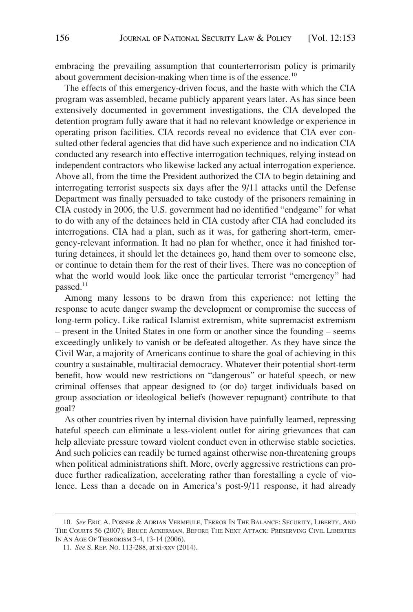embracing the prevailing assumption that counterterrorism policy is primarily about government decision-making when time is of the essence.<sup>10</sup>

The effects of this emergency-driven focus, and the haste with which the CIA program was assembled, became publicly apparent years later. As has since been extensively documented in government investigations, the CIA developed the detention program fully aware that it had no relevant knowledge or experience in operating prison facilities. CIA records reveal no evidence that CIA ever consulted other federal agencies that did have such experience and no indication CIA conducted any research into effective interrogation techniques, relying instead on independent contractors who likewise lacked any actual interrogation experience. Above all, from the time the President authorized the CIA to begin detaining and interrogating terrorist suspects six days after the 9/11 attacks until the Defense Department was finally persuaded to take custody of the prisoners remaining in CIA custody in 2006, the U.S. government had no identified "endgame" for what to do with any of the detainees held in CIA custody after CIA had concluded its interrogations. CIA had a plan, such as it was, for gathering short-term, emergency-relevant information. It had no plan for whether, once it had finished torturing detainees, it should let the detainees go, hand them over to someone else, or continue to detain them for the rest of their lives. There was no conception of what the world would look like once the particular terrorist "emergency" had passed. $11$ 

Among many lessons to be drawn from this experience: not letting the response to acute danger swamp the development or compromise the success of long-term policy. Like radical Islamist extremism, white supremacist extremism – present in the United States in one form or another since the founding – seems exceedingly unlikely to vanish or be defeated altogether. As they have since the Civil War, a majority of Americans continue to share the goal of achieving in this country a sustainable, multiracial democracy. Whatever their potential short-term benefit, how would new restrictions on "dangerous" or hateful speech, or new criminal offenses that appear designed to (or do) target individuals based on group association or ideological beliefs (however repugnant) contribute to that goal?

As other countries riven by internal division have painfully learned, repressing hateful speech can eliminate a less-violent outlet for airing grievances that can help alleviate pressure toward violent conduct even in otherwise stable societies. And such policies can readily be turned against otherwise non-threatening groups when political administrations shift. More, overly aggressive restrictions can produce further radicalization, accelerating rather than forestalling a cycle of violence. Less than a decade on in America's post-9/11 response, it had already

<sup>10.</sup> *See* ERIC A. POSNER & ADRIAN VERMEULE, TERROR IN THE BALANCE: SECURITY, LIBERTY, AND THE COURTS 56 (2007); BRUCE ACKERMAN, BEFORE THE NEXT ATTACK: PRESERVING CIVIL LIBERTIES IN AN AGE OF TERRORISM 3-4, 13-14 (2006).

<sup>11.</sup> *See* S. REP. NO. 113-288, at xi-xxv (2014).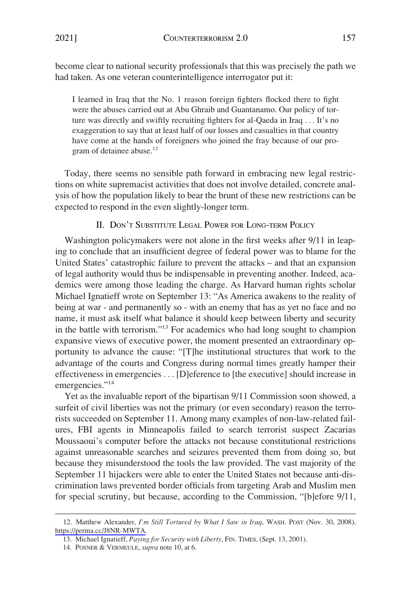<span id="page-4-0"></span>become clear to national security professionals that this was precisely the path we had taken. As one veteran counterintelligence interrogator put it:

I learned in Iraq that the No. 1 reason foreign fighters flocked there to fight were the abuses carried out at Abu Ghraib and Guantanamo. Our policy of torture was directly and swiftly recruiting fighters for al-Qaeda in Iraq . . . It's no exaggeration to say that at least half of our losses and casualties in that country have come at the hands of foreigners who joined the fray because of our program of detainee abuse.<sup>12</sup>

Today, there seems no sensible path forward in embracing new legal restrictions on white supremacist activities that does not involve detailed, concrete analysis of how the population likely to bear the brunt of these new restrictions can be expected to respond in the even slightly-longer term.

### II. DON'T SUBSTITUTE LEGAL POWER FOR LONG-TERM POLICY

Washington policymakers were not alone in the first weeks after 9/11 in leaping to conclude that an insufficient degree of federal power was to blame for the United States' catastrophic failure to prevent the attacks – and that an expansion of legal authority would thus be indispensable in preventing another. Indeed, academics were among those leading the charge. As Harvard human rights scholar Michael Ignatieff wrote on September 13: "As America awakens to the reality of being at war - and permanently so - with an enemy that has as yet no face and no name, it must ask itself what balance it should keep between liberty and security in the battle with terrorism."13 For academics who had long sought to champion expansive views of executive power, the moment presented an extraordinary opportunity to advance the cause: "[T]he institutional structures that work to the advantage of the courts and Congress during normal times greatly hamper their effectiveness in emergencies . . . [D]eference to [the executive] should increase in emergencies."<sup>14</sup>

Yet as the invaluable report of the bipartisan 9/11 Commission soon showed, a surfeit of civil liberties was not the primary (or even secondary) reason the terrorists succeeded on September 11. Among many examples of non-law-related failures, FBI agents in Minneapolis failed to search terrorist suspect Zacarias Moussaoui's computer before the attacks not because constitutional restrictions against unreasonable searches and seizures prevented them from doing so, but because they misunderstood the tools the law provided. The vast majority of the September 11 hijackers were able to enter the United States not because anti-discrimination laws prevented border officials from targeting Arab and Muslim men for special scrutiny, but because, according to the Commission, "[b]efore 9/11,

<sup>12.</sup> Matthew Alexander, *I'm Still Tortured by What I Saw in Iraq*, WASH. POST (Nov. 30, 2008), <https://perma.cc/J8NR-MWTA>.

<sup>13.</sup> Michael Ignatieff, *Paying for Security with Liberty*, FIN. TIMES, (Sept. 13, 2001).

<sup>14.</sup> POSNER & VERMEULE, *supra* note 10, at 6.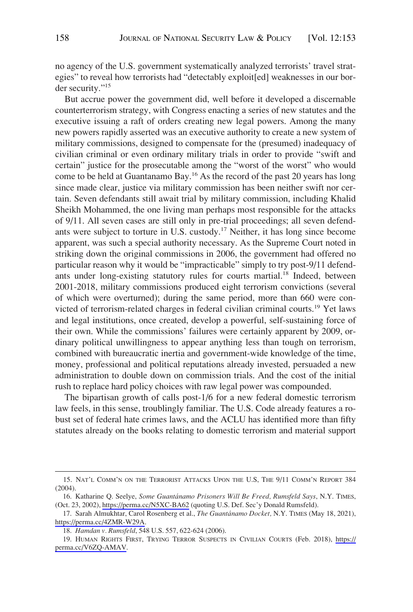no agency of the U.S. government systematically analyzed terrorists' travel strategies" to reveal how terrorists had "detectably exploit[ed] weaknesses in our border security."15

But accrue power the government did, well before it developed a discernable counterterrorism strategy, with Congress enacting a series of new statutes and the executive issuing a raft of orders creating new legal powers. Among the many new powers rapidly asserted was an executive authority to create a new system of military commissions, designed to compensate for the (presumed) inadequacy of civilian criminal or even ordinary military trials in order to provide "swift and certain" justice for the prosecutable among the "worst of the worst" who would come to be held at Guantanamo Bay.<sup>16</sup> As the record of the past 20 years has long since made clear, justice via military commission has been neither swift nor certain. Seven defendants still await trial by military commission, including Khalid Sheikh Mohammed, the one living man perhaps most responsible for the attacks of 9/11. All seven cases are still only in pre-trial proceedings; all seven defendants were subject to torture in U.S. custody.<sup>17</sup> Neither, it has long since become apparent, was such a special authority necessary. As the Supreme Court noted in striking down the original commissions in 2006, the government had offered no particular reason why it would be "impracticable" simply to try post-9/11 defendants under long-existing statutory rules for courts martial.<sup>18</sup> Indeed, between 2001-2018, military commissions produced eight terrorism convictions (several of which were overturned); during the same period, more than 660 were convicted of terrorism-related charges in federal civilian criminal courts.<sup>19</sup> Yet laws and legal institutions, once created, develop a powerful, self-sustaining force of their own. While the commissions' failures were certainly apparent by 2009, ordinary political unwillingness to appear anything less than tough on terrorism, combined with bureaucratic inertia and government-wide knowledge of the time, money, professional and political reputations already invested, persuaded a new administration to double down on commission trials. And the cost of the initial rush to replace hard policy choices with raw legal power was compounded.

The bipartisan growth of calls post-1/6 for a new federal domestic terrorism law feels, in this sense, troublingly familiar. The U.S. Code already features a robust set of federal hate crimes laws, and the ACLU has identified more than fifty statutes already on the books relating to domestic terrorism and material support

<sup>15.</sup> NAT'L COMM'N ON THE TERRORIST ATTACKS UPON THE U.S, THE 9/11 COMM'N REPORT 384 (2004).

<sup>16.</sup> Katharine Q. Seelye, Some Guantánamo Prisoners Will Be Freed, Rumsfeld Says, N.Y. TIMES, (Oct. 23, 2002),<https://perma.cc/N5XC-BA62>(quoting U.S. Def. Sec'y Donald Rumsfeld).

<sup>17.</sup> Sarah Almukhtar, Carol Rosenberg et al., *The Guantánamo Docket*, N.Y. TIMES (May 18, 2021), <https://perma.cc/4ZMR-W29A>.

<sup>18.</sup> *Hamdan v. Rumsfeld*, 548 U.S. 557, 622-624 (2006).

<sup>19.</sup> HUMAN RIGHTS FIRST, TRYING TERROR SUSPECTS IN CIVILIAN COURTS (Feb. 2018), https:// [perma.cc/V6ZQ-AMAV.](https://perma.cc/V6ZQ-AMAV)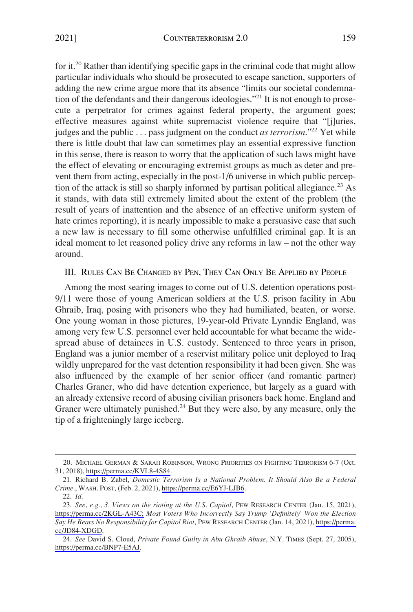<span id="page-6-0"></span>for it.<sup>20</sup> Rather than identifying specific gaps in the criminal code that might allow particular individuals who should be prosecuted to escape sanction, supporters of adding the new crime argue more that its absence "limits our societal condemnation of the defendants and their dangerous ideologies."<sup>21</sup> It is not enough to prosecute a perpetrator for crimes against federal property, the argument goes; effective measures against white supremacist violence require that "[j]uries, judges and the public . . . pass judgment on the conduct *as terrorism*."<sup>22</sup> Yet while there is little doubt that law can sometimes play an essential expressive function in this sense, there is reason to worry that the application of such laws might have the effect of elevating or encouraging extremist groups as much as deter and prevent them from acting, especially in the post-1/6 universe in which public perception of the attack is still so sharply informed by partisan political allegiance.<sup>23</sup> As it stands, with data still extremely limited about the extent of the problem (the result of years of inattention and the absence of an effective uniform system of hate crimes reporting), it is nearly impossible to make a persuasive case that such a new law is necessary to fill some otherwise unfulfilled criminal gap. It is an ideal moment to let reasoned policy drive any reforms in law – not the other way around.

#### III. RULES CAN BE CHANGED BY PEN, THEY CAN ONLY BE APPLIED BY PEOPLE

Among the most searing images to come out of U.S. detention operations post-9/11 were those of young American soldiers at the U.S. prison facility in Abu Ghraib, Iraq, posing with prisoners who they had humiliated, beaten, or worse. One young woman in those pictures, 19-year-old Private Lynndie England, was among very few U.S. personnel ever held accountable for what became the widespread abuse of detainees in U.S. custody. Sentenced to three years in prison, England was a junior member of a reservist military police unit deployed to Iraq wildly unprepared for the vast detention responsibility it had been given. She was also influenced by the example of her senior officer (and romantic partner) Charles Graner, who did have detention experience, but largely as a guard with an already extensive record of abusing civilian prisoners back home. England and Graner were ultimately punished. $^{24}$  But they were also, by any measure, only the tip of a frighteningly large iceberg.

MICHAEL GERMAN & SARAH ROBINSON, WRONG PRIORITIES ON FIGHTING TERRORISM 6-7 (Oct. 20. 31, 2018),<https://perma.cc/KVL8-4S84>.

<sup>21.</sup> Richard B. Zabel, *Domestic Terrorism Is a National Problem. It Should Also Be a Federal Crime.*, WASH. POST, (Feb. 2, 2021), [https://perma.cc/E6YJ-LJB6.](https://perma.cc/E6YJ-LJB6)

<sup>22.</sup> *Id.* 

<sup>23.</sup> See, e.g., 3. Views on the rioting at the U.S. Capitol, PEW RESEARCH CENTER (Jan. 15, 2021), [https://perma.cc/2KGL-A43C;](https://perma.cc/2KGL-A43C) *Most Voters Who Incorrectly Say Trump 'Definitely' Won the Election Say He Bears No Responsibility for Capitol Riot,* PEW RESEARCH CENTER (Jan. 14, 2021), [https://perma.](https://perma.cc/JD84-XDGD)  [cc/JD84-XDGD](https://perma.cc/JD84-XDGD).

*See* David S. Cloud, *Private Found Guilty in Abu Ghraib Abuse*, N.Y. TIMES (Sept. 27, 2005), 24. [https://perma.cc/BNP7-E5AJ.](https://perma.cc/BNP7-E5AJ)